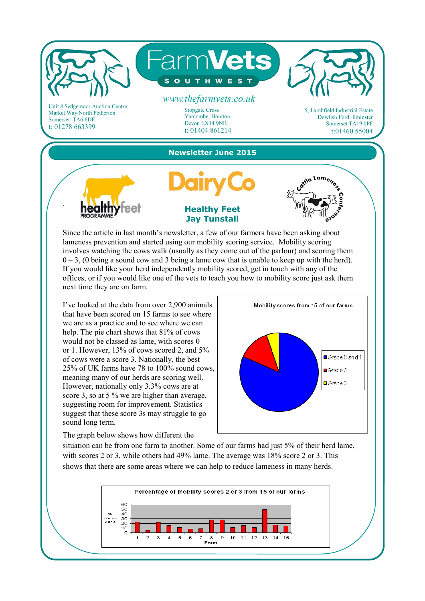

involves watching the cows walk (usually as they come out of the parlour) and scoring them  $0 - 3$ , (0 being a sound cow and 3 being a lame cow that is unable to keep up with the herd). If you would like your herd independently mobility scored, get in touch with any of the offices, or if you would like one of the vets to teach you how to mobility score just ask them next time they are on farm.

I've looked at the data from over 2,900 animals that have been scored on 15 farms to see where we are as a practice and to see where we can help. The pie chart shows that 81% of cows would not be classed as lame, with scores 0 or 1. However, 13% of cows scored 2, and 5% of cows were a score 3. Nationally, the best 25% of UK farms have 78 to 100% sound cows, meaning many of our herds are scoring well. However, nationally only 3.3% cows are at score 3, so at 5 % we are higher than average, suggesting room for improvement. Statistics suggest that these score 3s may struggle to go sound long term.

The graph below shows how different the

Mobility scores from 15 of our farms **■Grade 0 and 1**  $Grade$ ? **□Grade 3** 

situation can be from one farm to another. Some of our farms had just 5% of their herd lame, with scores 2 or 3, while others had 49% lame. The average was 18% score 2 or 3. This shows that there are some areas where we can help to reduce lameness in many herds.